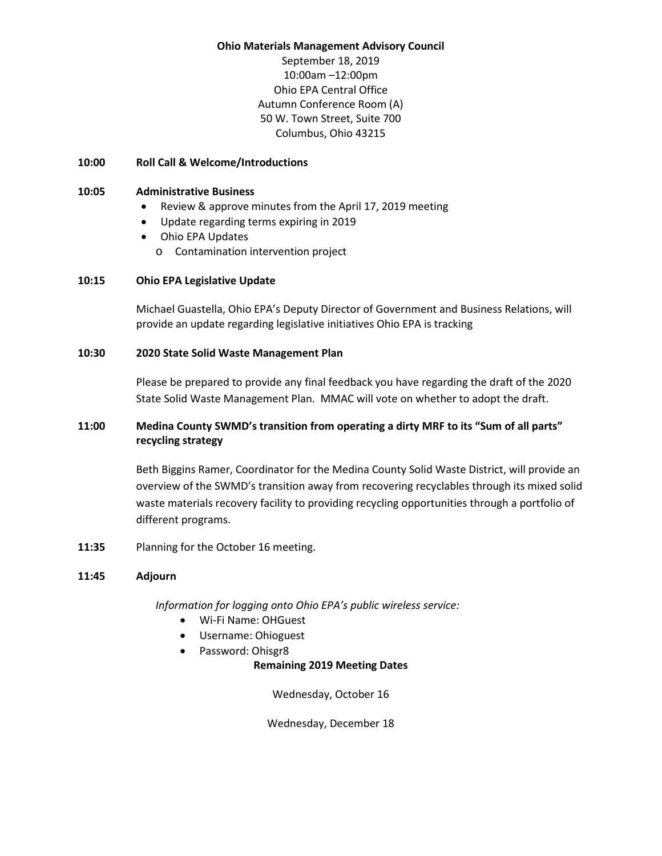#### **Ohio Materials Management Advisory Council**

September 18, 2019 10:00am –12:00pm Ohio EPA Central Office Autumn Conference Room (A) 50 W. Town Street, Suite 700 Columbus, Ohio 43215

### **10:00 Roll Call & Welcome/Introductions**

### **10:05 Administrative Business**

- Review & approve minutes from the April 17, 2019 meeting
- Update regarding terms expiring in 2019
- Ohio EPA Updates
	- o Contamination intervention project

### **10:15 Ohio EPA Legislative Update**

Michael Guastella, Ohio EPA's Deputy Director of Government and Business Relations, will provide an update regarding legislative initiatives Ohio EPA is tracking

### **10:30 2020 State Solid Waste Management Plan**

Please be prepared to provide any final feedback you have regarding the draft of the 2020 State Solid Waste Management Plan. MMAC will vote on whether to adopt the draft.

# **11:00 Medina County SWMD's transition from operating a dirty MRF to its "Sum of all parts" recycling strategy**

Beth Biggins Ramer, Coordinator for the Medina County Solid Waste District, will provide an overview of the SWMD's transition away from recovering recyclables through its mixed solid waste materials recovery facility to providing recycling opportunities through a portfolio of different programs.

**11:35** Planning for the October 16 meeting.

## **11:45 Adjourn**

*Information for logging onto Ohio EPA's public wireless service:*

- Wi-Fi Name: OHGuest
- Username: Ohioguest
- Password: Ohisgr8

**Remaining 2019 Meeting Dates**

Wednesday, October 16

Wednesday, December 18